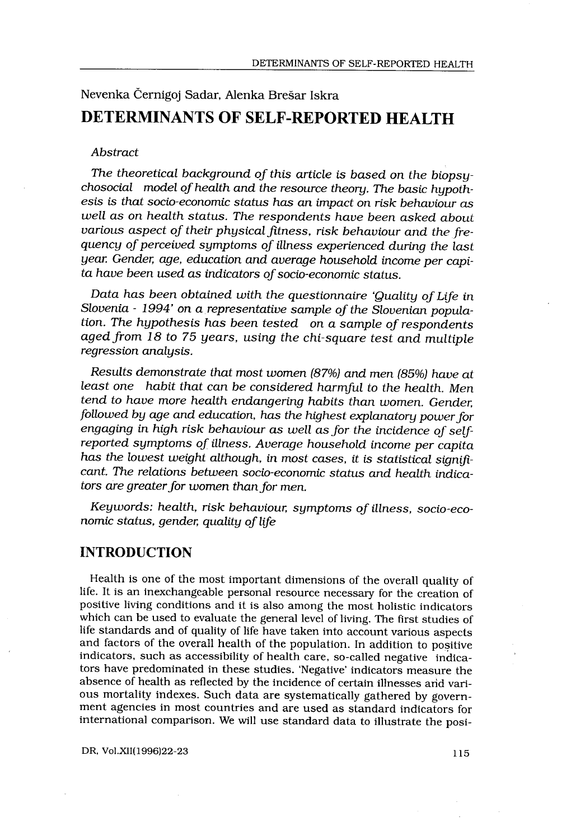# Nevenka Černigoj Sadar, Alenka Brešar Iskra DETERMINANTS OF SELF-REPORTED HEALTH

#### Abstract

 

The theoretical background of this article is based on the biopsychosocial model of health and the resource theory. The basic hypothesis is that socio-economic status has an impact on risk behaviour as well as on health status. The respondents have been asked about various aspect of their physical fitness, risk behaviour and the frequency of perceived symptoms of illness experienced during the last year Gender, age, education and average household income per capita have been used as indicators of socio-economic status.

Data has been obtained with the questionnaire 'Quality of Life in Slovenia - 1994' on a representative sample of the Slovenian population. The hypothesis has been tested on a sample of respondents aged from 18 to 75 years, using the chi-square test and multiple regression analysis.

Results demonstrate that most women (87%) and men (85%) have at least one habit that can be considered harmful to the health. Men tend to have more health endangering habits than women. Gender, followed by age and education, has the highest explanatory power for engaging in high risk behaviour as well as for the incidence of selfreported symptoms of illness. Average household income per capita has the lowest weight although, in most cases, it is statistical significant. The relations between socio-economic status and health indicators are greater for women than for men.

Keywords: health, risk behaviour, symptoms of illness, socio-economic status, gender, quality of life

### INTRODUCTION

Health is one of the most important dimensions of the overall quality of life. It is an inexchangeable personal resource necessary for the creation of positive living conditions and it is also among the most holistic indicators which can be used to evaluate the general level of living. The first studies of life standards and of quality of life have taken into account various aspects and factors of the overall health of the population. In addition to positive indicators, such as accessibility of health care, so-called negative indicators have predominated in these studies . 'Negative' indicators measure the absence of health as reflected by the incidence of certain illnesses and various mortality indexes. Such data are systematically gathered by government agencies in most countries and are used as standard indicators for international comparison. We will use standard data to illustrate the posi-

DR, Vol.XII(1996)22-23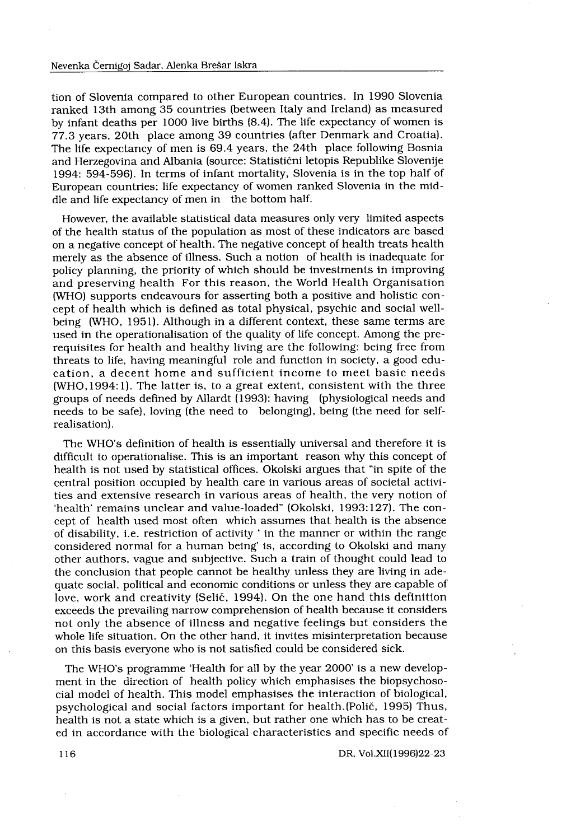tion of Slovenia compared to other European countries. In 1990 Slovenia ranked 13th among 35 countries (between Italy and Ireland) as measured by infant deaths per 1000 live births (8 .4) . The life expectancy of women is 77.3 years, 20th place among 39 countries (after Denmark and Croatia) . The life expectancy of men is 69 .4 years, the 24th place following Bosnia and Herzegovina and Albania (source: Statistični letopis Republike Slovenije 1994: 594-596) . In terms of infant mortality, Slovenia is in the top half of European countries; life expectancy of women ranked Slovenia in the middle and life expectancy of men in the bottom half.

However, the available statistical data measures only very limited aspects of the health status of the population as most of these indicators are based on a negative concept of health . The negative concept of health treats health merely as the absence of illness . Such a notion of health is inadequate for policy planning, the priority of which should be investments in improving and preserving health For this reason, the World Health Organisation (WHO) supports endeavours for asserting both a positive and holistic concept of health which is defined as total physical, psychic and social wellbeing (WHO, 1951). Although in a different context, these same terms are used in the operationalisation of the quality of life concept . Among the prerequisites for health and healthy living are the following : being free from threats to life, having meaningful role and function in society, a good education, a decent home and sufficient income to meet basic needs  $(WHO, 1994:1)$ . The latter is, to a great extent, consistent with the three groups of needs defined by Allardt (1993): having (physiological needs and needs to be safe), loving (the need to belonging), being (the need for selfrealisation) .

The WHO's definition of health is essentially universal and therefore it is difficult to operationalise. This is an important reason why this concept of health is not used by statistical offices . Okolski argues that "in spite of the central position occupied by health care in various areas of societal activities and extensive research in various areas of health, the very notion of 'health' remains unclear and value-loaded" (Okolski, 1993:127). The concept of health used most often which assumes that health is the absence of disability, i .e . restriction of activity ' in the manner or within the range considered normal for a human being' is, according to Okolski and many other authors, vague and subjective . Such a train of thought could lead to the conclusion that people cannot be healthy unless they are living in adequate social, political and economic conditions or unless they are capable of love, work and creativity (Selič, 1994) . On the one hand this definition exceeds the prevailing narrow comprehension of health because it considers not only the absence of illness and negative feelings but considers the whole life situation . On the other hand, it invites misinterpretation because on this basis everyone who is not satisfied could be considered sick .

The WHO's programme 'Health for all by the year 2000' is a new development in the direction of health policy which emphasises the biopsychosocial model of health. This model emphasises the interaction of biological, psychological and social factors important for health . (Polič, 1995) Thus, health is not a state which is a given, but rather one which has to be created in accordance with the biological characteristics and specific needs of

DR, Vol .XII(1996)22-23

116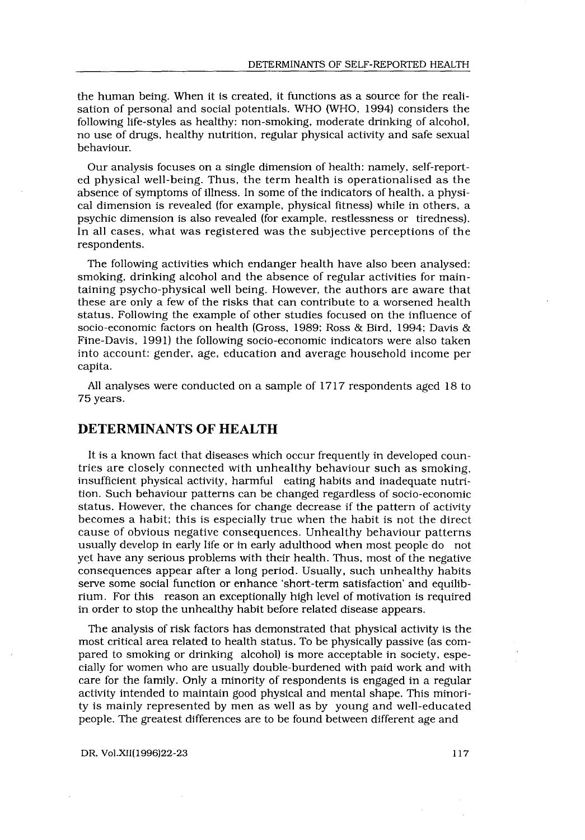the human being. When it is created, it functions as a source for the realisation of personal and social potentials . WHO (WHO, 1994) considers the following life-styles as healthy: non-smoking, moderate drinking of alcohol, no use of drugs, healthy nutrition, regular physical activity and safe sexual behaviour.

Our analysis focuses on a single dimension of health: namely, self-reported physical well-being. Thus, the term health is operationalised as the absence of symptoms of illness . In some of the indicators of health, a physical dimension is revealed (for example, physical fitness) while in others, a psychic dimension is also revealed (for example, restlessness or tiredness) . In all cases, what was registered was the subjective perceptions of the respondents.

The following activities which endanger health have also been analysed: smoking, drinking alcohol and the absence of regular activities for maintaining psycho-physical well being. However, the authors are aware that these are only a few of the risks that can contribute to a worsened health status . Following the example of other studies focused on the influence of socio-economic factors on health (Gross, 1989; Ross & Bird, 1994; Davis & Fine-Davis, 1991) the following socio-economic indicators were also taken into account: gender, age, education and average household income per capita.

All analyses were conducted on a sample of 1717 respondents aged 18 to 75 years .

## DETERMINANTS OF HEALTH

It is a known fact that diseases which occur frequently in developed countries are closely connected with unhealthy behaviour such as smoking, insufficient physical activity, harmful eating habits and inadequate nutrition . Such behaviour patterns can be changed regardless of socio-economic status. However, the chances for change decrease if the pattern of activity becomes a habit; this is especially true when the habit is not the direct cause of obvious negative consequences . Unhealthy behaviour patterns usually develop in early life or in early adulthood when most people do not yet have any serious problems with their health . Thus, most of the negative consequences appear after a long period. Usually, such unhealthy habits serve some social function or enhance `short-term satisfaction' and equilibrium . For this reason an exceptionally high level of motivation is required in order to stop the unhealthy habit before related disease appears .

The analysis of risk factors has demonstrated that physical activity is the most critical area related to health status . To be physically passive (as compared to smoking or drinking alcohol) is more acceptable in society, especially for women who are usually double-burdened with paid work and with care for the family . Only a minority of respondents is engaged in a regular activity intended to maintain good physical and mental shape. This minority is mainly represented by men as well as by young and well-educated people. The greatest differences are to be found between different age and

DR, Vol.XII(1996)22-23 117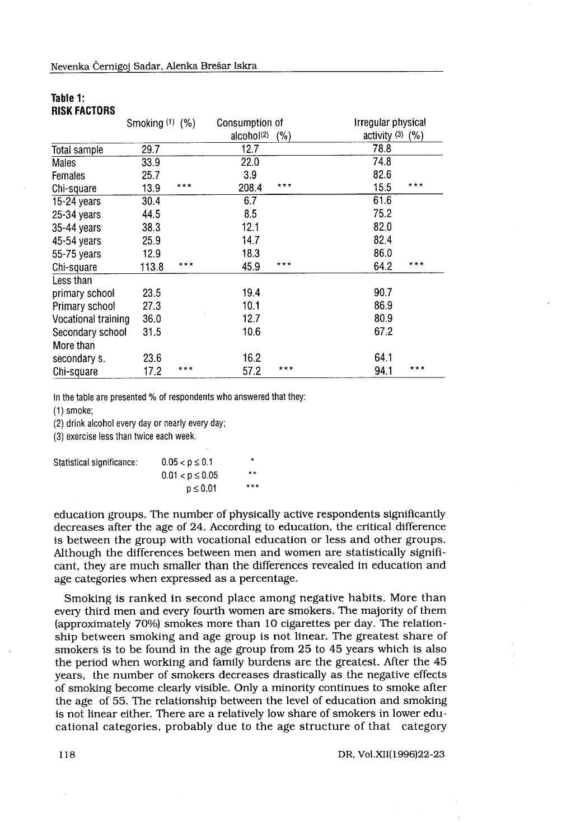| Nevenka Černigoj Sadar, Alenka Brešar Iskra |                 |       |                        |     |                      |     |
|---------------------------------------------|-----------------|-------|------------------------|-----|----------------------|-----|
|                                             |                 |       |                        |     |                      |     |
|                                             |                 |       |                        |     |                      |     |
|                                             |                 |       |                        |     |                      |     |
|                                             |                 |       |                        |     |                      |     |
|                                             |                 |       |                        |     |                      |     |
|                                             |                 |       |                        |     |                      |     |
|                                             |                 |       |                        |     |                      |     |
|                                             |                 |       |                        |     |                      |     |
|                                             |                 |       |                        |     |                      |     |
| Table 1:                                    |                 |       |                        |     |                      |     |
| <b>RISK FACTORS</b>                         |                 |       |                        |     |                      |     |
|                                             | Smoking (1) (%) |       | Consumption of         |     | Irregular physical   |     |
|                                             |                 |       | alcohol <sup>(2)</sup> | (%) | activity $(3)$ $(%)$ |     |
| Total sample                                | 29.7            |       | 12.7                   |     | 78.8                 |     |
| Males                                       | 33.9            |       | 22.0                   |     | 74.8                 |     |
| Females                                     | 25.7            |       | 3.9                    |     | 82.6                 |     |
| Chi-square                                  | 13.9            | ***   | 208.4                  | *** | 15.5                 | *** |
| 15-24 years                                 | 30.4            |       | 6.7                    |     | 61.6                 |     |
| 25-34 years                                 | 44.5            |       | 8.5                    |     | 75.2                 |     |
| 35-44 years                                 | 38.3            |       | 12.1                   |     | 82.0                 |     |
| 45-54 years                                 | 25.9            |       | 14.7                   |     | 82.4                 |     |
| 55-75 years                                 | 12.9            |       | 18.3                   |     | 86.0                 |     |
| Chi-square                                  | 113.8           | ***   | 45.9                   | *** | 64.2                 | *** |
| Less than                                   |                 |       |                        |     |                      |     |
| primary school                              | 23.5            |       | 19.4                   |     | 90.7                 |     |
| Primary school                              | 27.3            |       | 10.1                   |     | 86.9                 |     |
| Vocational training                         | 36.0            |       | 12.7                   |     | 80.9                 |     |
| Secondary school                            | 31.5            |       | 10.6                   |     | 67.2                 |     |
|                                             |                 |       |                        |     |                      |     |
| More than                                   | 23.6            |       | 16.2                   |     | 64.1                 |     |
| secondary s.                                |                 | $***$ | 57.2                   | *** | 94.1                 | *** |

#### Table 1: RISK FACTORS

 $(1)$  smoke;

(2) drink alcohol every day or nearly every day;

(3) exercise less than twice each week .

| Statistical significance: | $0.05 < p \leq 0.1$  | ۰   |
|---------------------------|----------------------|-----|
|                           | $0.01 < p \leq 0.05$ | **  |
|                           | $p \leq 0.01$        | *** |

education groups . The number of physically active respondents significantly decreases after the age of 24 . According to education, the critical difference is between the group with vocational education or less and other groups. Although the differences between men and women are statistically significant, they are much smaller than the differences revealed in education and age categories when expressed as a percentage.

Smoking is ranked in second place among negative habits. More than every third men and every fourth women are smokers. The majority of them (approximately 70%) smokes more than 10 cigarettes per day . The relationship between smoking and age group is not linear. The greatest share of smokers is to be found in the age group from 25 to 45 years which is also the period when working and family burdens are the greatest. After the 45 years, the number of smokers decreases drastically as the negative effects of smoking become clearly visible . Only a minority continues to smoke after the age of 55. The relationship between the level of education and smoking is not linear either. There are a relatively low share of smokers in lower educational categories, probably due to the age structure of that category

DR, Vol .XII(1996)22-23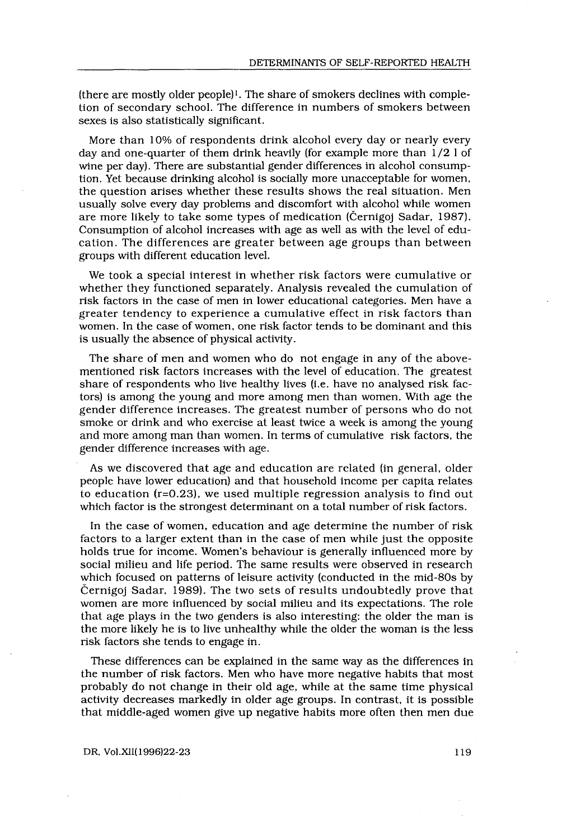(there are mostly older people)<sup> $l$ </sup>. The share of smokers declines with completion of secondary school. The difference in numbers of smokers between sexes is also statistically significant.

More than 10% of respondents drink alcohol every day or nearly every day and one-quarter of them drink heavily (for example more than 1/2 1 of wine per day) . There are substantial gender differences in alcohol consumption. Yet because drinking alcohol is socially more unacceptable for women, the question arises whether these results shows the real situation . Men usually solve every day problems and discomfort with alcohol while women are more likely to take some types of medication (Černigoj Sadar, 1987). Consumption of alcohol increases with age as well as with the level of education. The differences are greater between age groups than between groups with different education level .

We took a special interest in whether risk factors were cumulative or whether they functioned separately . Analysis revealed the cumulation of risk factors in the case of men in lower educational categories . Men have a greater tendency to experience a cumulative effect in risk factors than women. In the case of women, one risk factor tends to be dominant and this is usually the absence of physical activity.

The share of men and women who do not engage in any of the abovementioned risk factors increases with the level of education . The greatest share of respondents who live healthy lives (i .e . have no analysed risk factors) is among the young and more among men than women. With age the gender difference increases . The greatest number of persons who do not smoke or drink and who exercise at least twice a week is among the young and more among man than women . In terms of cumulative risk factors, the gender difference increases with age .

As we discovered that age and education are related (in general, older people have lower education) and that household income per capita relates to education (r=0 .23), we used multiple regression analysis to find out which factor is the strongest determinant on a total number of risk factors.

In the case of women, education and age determine the number of risk factors to a larger extent than in the case of men while just the opposite holds true for income. Women's behaviour is generally influenced more by social milieu and life period. The same results were observed in research which focused on patterns of leisure activity (conducted in the mid-80s by Černigoj Sadar, 1989). The two sets of results undoubtedly prove that women are more influenced by social milieu and its expectations . The role that age plays in the two genders is also interesting : the older the man is the more likely he is to live unhealthy while the older the woman is the less risk factors she tends to engage in .

These differences can be explained in the same way as the differences in the number of risk factors. Men who have more negative habits that most probably do not change in their old age, while at the same time physical activity decreases markedly in older age groups . In contrast, it is possible that middle-aged women give up negative habits more often then men due

#### DR, Vol .XII(1996)22-23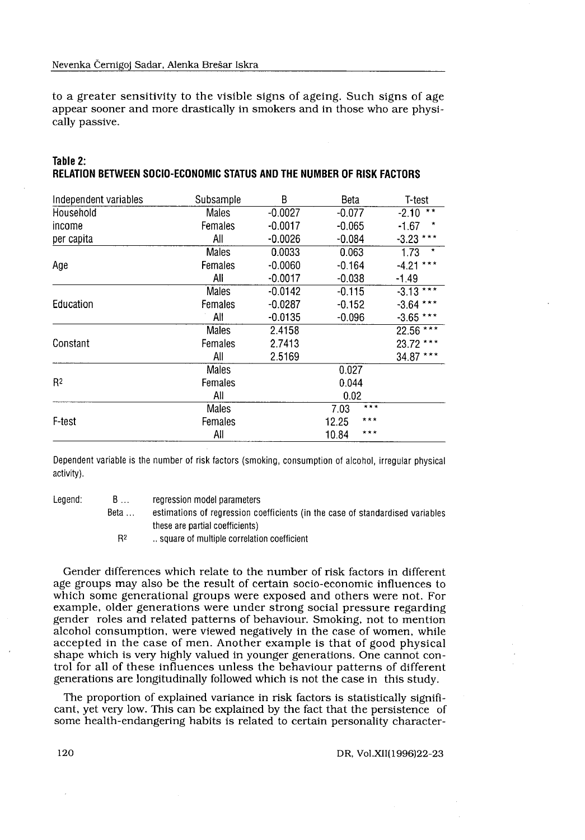| Table 2: |                                                                       |  |  |  |
|----------|-----------------------------------------------------------------------|--|--|--|
|          | RELATION BETWEEN SOCIO-ECONOMIC STATUS AND THE NUMBER OF RISK FACTORS |  |  |  |

| cally passive.        |                             |                                                                                                                                                                                                                                                                                                                                                                                                                                                                                                                                                                                                                                                                                                                           |           |                 |             |
|-----------------------|-----------------------------|---------------------------------------------------------------------------------------------------------------------------------------------------------------------------------------------------------------------------------------------------------------------------------------------------------------------------------------------------------------------------------------------------------------------------------------------------------------------------------------------------------------------------------------------------------------------------------------------------------------------------------------------------------------------------------------------------------------------------|-----------|-----------------|-------------|
|                       |                             | to a greater sensitivity to the visible signs of ageing. Such signs of age<br>appear sooner and more drastically in smokers and in those who are physi-                                                                                                                                                                                                                                                                                                                                                                                                                                                                                                                                                                   |           |                 |             |
| Table 2:              |                             | RELATION BETWEEN SOCIO-ECONOMIC STATUS AND THE NUMBER OF RISK FACTORS                                                                                                                                                                                                                                                                                                                                                                                                                                                                                                                                                                                                                                                     |           |                 |             |
| Independent variables |                             | Subsample                                                                                                                                                                                                                                                                                                                                                                                                                                                                                                                                                                                                                                                                                                                 | B         | Beta            | T-test      |
| Household             |                             | Males                                                                                                                                                                                                                                                                                                                                                                                                                                                                                                                                                                                                                                                                                                                     | $-0.0027$ | $-0.077$        | $-2.10$     |
| income                |                             | Females                                                                                                                                                                                                                                                                                                                                                                                                                                                                                                                                                                                                                                                                                                                   | $-0.0017$ | $-0.065$        | $-1.67$     |
| per capita            |                             | All                                                                                                                                                                                                                                                                                                                                                                                                                                                                                                                                                                                                                                                                                                                       | $-0.0026$ | $-0.084$        | $-3.23$ **  |
|                       |                             | <b>Males</b>                                                                                                                                                                                                                                                                                                                                                                                                                                                                                                                                                                                                                                                                                                              | 0.0033    | 0.063           | 1.73        |
| Age                   |                             | Females                                                                                                                                                                                                                                                                                                                                                                                                                                                                                                                                                                                                                                                                                                                   | $-0.0060$ | $-0.164$        | $-4.21***$  |
|                       |                             | All                                                                                                                                                                                                                                                                                                                                                                                                                                                                                                                                                                                                                                                                                                                       | $-0.0017$ | $-0.038$        | -1.49       |
|                       |                             | Males                                                                                                                                                                                                                                                                                                                                                                                                                                                                                                                                                                                                                                                                                                                     | $-0.0142$ | $-0.115$        | $-3.13$ *** |
| Education             |                             | Females                                                                                                                                                                                                                                                                                                                                                                                                                                                                                                                                                                                                                                                                                                                   | $-0.0287$ | $-0.152$        | $-3.64$ *** |
|                       |                             | All                                                                                                                                                                                                                                                                                                                                                                                                                                                                                                                                                                                                                                                                                                                       | $-0.0135$ | $-0.096$        | $-3.65$     |
|                       |                             | <b>Males</b>                                                                                                                                                                                                                                                                                                                                                                                                                                                                                                                                                                                                                                                                                                              | 2.4158    |                 | 22.56       |
| Constant              |                             | Females                                                                                                                                                                                                                                                                                                                                                                                                                                                                                                                                                                                                                                                                                                                   | 2.7413    |                 | 23.72       |
|                       |                             | All                                                                                                                                                                                                                                                                                                                                                                                                                                                                                                                                                                                                                                                                                                                       | 2.5169    |                 | 34.87       |
|                       |                             | Males                                                                                                                                                                                                                                                                                                                                                                                                                                                                                                                                                                                                                                                                                                                     |           | 0.027           |             |
| R <sup>2</sup>        |                             | Females                                                                                                                                                                                                                                                                                                                                                                                                                                                                                                                                                                                                                                                                                                                   |           | 0.044           |             |
|                       |                             | All                                                                                                                                                                                                                                                                                                                                                                                                                                                                                                                                                                                                                                                                                                                       |           | 0.02            |             |
|                       |                             | Males                                                                                                                                                                                                                                                                                                                                                                                                                                                                                                                                                                                                                                                                                                                     |           | 7.03<br>$* * *$ |             |
| F-test                |                             | Females                                                                                                                                                                                                                                                                                                                                                                                                                                                                                                                                                                                                                                                                                                                   |           | 12.25           |             |
|                       |                             | All                                                                                                                                                                                                                                                                                                                                                                                                                                                                                                                                                                                                                                                                                                                       |           | ***<br>10.84    |             |
| activity).            |                             | Dependent variable is the number of risk factors (smoking, consumption of alcohol, irregular physical                                                                                                                                                                                                                                                                                                                                                                                                                                                                                                                                                                                                                     |           |                 |             |
| Legend:               | B<br>Beta<br>R <sup>2</sup> | regression model parameters<br>estimations of regression coefficients (in the case of standardised variables<br>these are partial coefficients)<br>square of multiple correlation coefficient                                                                                                                                                                                                                                                                                                                                                                                                                                                                                                                             |           |                 |             |
|                       |                             | Gender differences which relate to the number of risk factors in different<br>age groups may also be the result of certain socio-economic influences to<br>which some generational groups were exposed and others were not. For<br>example, older generations were under strong social pressure regarding                                                                                                                                                                                                                                                                                                                                                                                                                 |           |                 |             |
|                       |                             | gender roles and related patterns of behaviour. Smoking, not to mention<br>alcohol consumption, were viewed negatively in the case of women, while<br>accepted in the case of men. Another example is that of good physical<br>shape which is very highly valued in younger generations. One cannot con-<br>trol for all of these influences unless the behaviour patterns of different<br>generations are longitudinally followed which is not the case in this study.<br>The proportion of explained variance in risk factors is statistically signifi-<br>cant, yet very low. This can be explained by the fact that the persistence of<br>some health-endangering habits is related to certain personality character- |           |                 |             |

- Beta ... these are partial coefficients)
	- R2 . . square of multiple correlation coefficient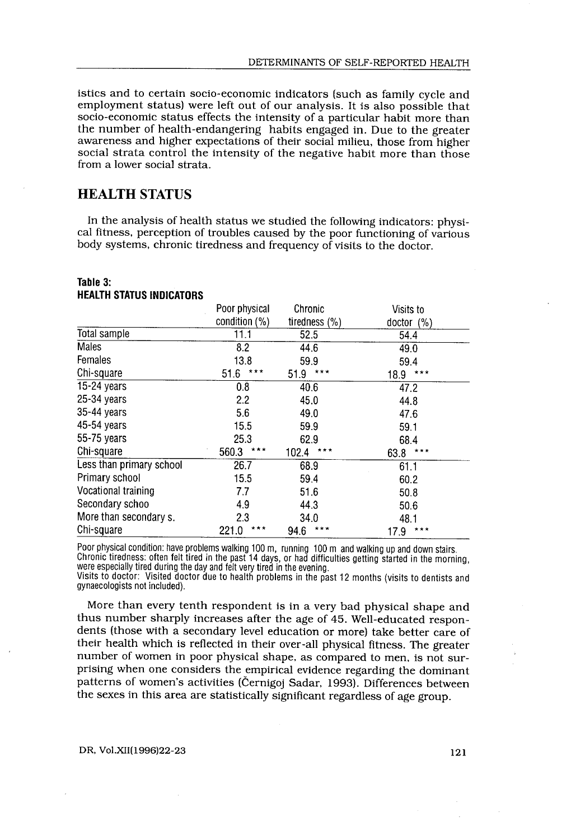istics and to certain socio-economic indicators (such as family cycle and employment status) were left out of our analysis . It is also possible that socio-economic status effects the intensity of a particular habit more than the number of health-endangering habits engaged in. Due to the greater awareness and higher expectations of their social milieu, those from higher social strata control the intensity of the negative habit more than those from a lower social strata .

## HEALTH STATUS

 

 

In the analysis of health status we studied the following indicators: physical fitness, perception of troubles caused by the poor functioning of various body systems, chronic tiredness and frequency of visits to the doctor.

#### Table 3: HEALTH STATUS INDICATORS

| Table 3:<br><b>HEALTH STATUS INDICATORS</b> |                |                  |               |
|---------------------------------------------|----------------|------------------|---------------|
|                                             | Poor physical  | Chronic          | Visits to     |
|                                             | condition (%)  | tiredness $(\%)$ | doctor (%)    |
| Total sample                                | 11.1           | 52.5             | 54.4          |
| Males                                       | 8.2            | 44.6             | 49.0          |
| Females                                     | 13.8           | 59.9             | 59.4          |
| Chi-square                                  | ***<br>51.6    | ***<br>51.9      | 18.9<br>* * * |
| 15-24 years                                 | 0.8            | 40.6             | 47.2          |
| $25-34$ vears                               | 2.2            | 45.0             | 44.8          |
| $35-44$ years                               | 5.6            | 49.0             | 47.6          |
| 45-54 vears                                 | 15.5           | 59.9             | 59.1          |
| 55-75 years                                 | 25.3           | 62.9             | 68.4          |
| Chi-square                                  | ***<br>560.3   | 102.4<br>***     | 63.8<br>***   |
| Less than primary school                    | 26.7           | 68.9             | 61.1          |
| Primary school                              | 15.5           | 59.4             | 60.2          |
| Vocational training                         | 77             | 51.6             | 50.8          |
| Secondary schoo                             | 4.9            | 44.3             | 50.6          |
| More than secondary s.                      | 2.3            | 34.0             | 48.1          |
| Chi-square                                  | 221.0<br>* * * | ***<br>94.6      | ***<br>17.9   |

More than every tenth respondent is in a very bad physical shape and thus number sharply increases after the age of 45 . Well-educated respondents (those with a secondary level education or more) take better care of their health which is reflected in their over-all physical fitness. The greater number of women in poor physical shape, as compared to men, is not surprising when one considers the empirical evidence regarding the dominant patterns of women's activities (Černigoj Sadar, 1993). Differences between the sexes in this area are statistically significant regardless of age group .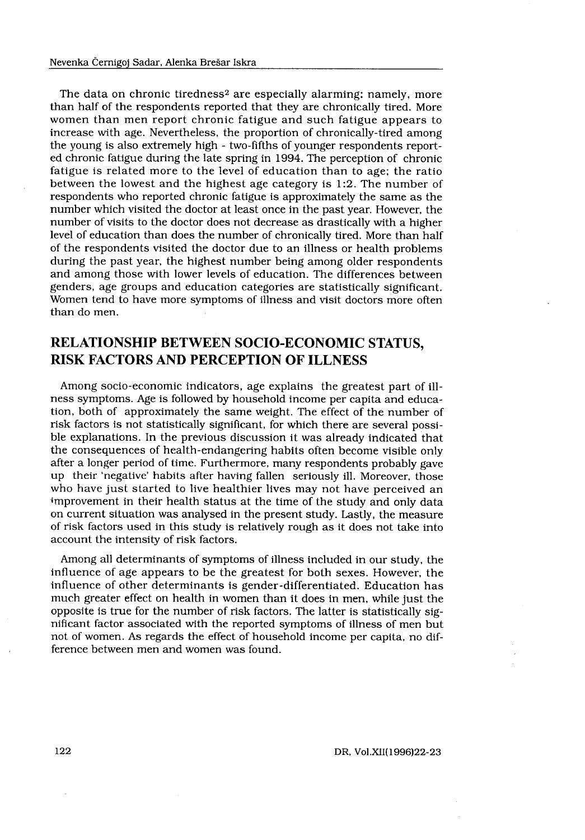The data on chronic tiredness<sup>2</sup> are especially alarming: namely, more than half of the respondents reported that they are chronically tired. More women than men report chronic fatigue and such fatigue appears to increase with age. Nevertheless, the proportion of chronically-tired among the young is also extremely high - two-fifths of younger respondents reported chronic fatigue during the late spring in 1994 . The perception of chronic fatigue is related more to the level of education than to age; the ratio between the lowest and the highest age category is 1:2. The number of respondents who reported chronic fatigue is approximately the same as the number which visited the doctor at least once in the past year . However, the number of visits to the doctor does not decrease as drastically with a higher level of education than does the number of chronically tired . More than half of the respondents visited the doctor due to an illness or health problems during the past year, the highest number being among older respondents and among those with lower levels of education. The differences between genders, age groups and education categories are statistically significant. Women tend to have more symptoms of illness and visit doctors more often than do men.

## RELATIONSHIP BETWEEN SOCIO-ECONOMIC STATUS, RISK FACTORS AND PERCEPTION OF ILLNESS

Among socio-economic indicators, age explains the greatest part of illness symptoms . Age is followed by household income per capita and education, both of approximately the same weight. The effect of the number of risk factors is not statistically significant, for which there are several possible explanations . In the previous discussion it was already indicated that the consequences of health-endangering habits often become visible only after a longer period of time. Furthermore, many respondents probably gave up their 'negative' habits after having fallen seriously ill. Moreover, those who have just started to live healthier lives may not have perceived an improvement in their health status at the time of the study and only data on current situation was analysed in the present study . Lastly, the measure of risk factors used in this study is relatively rough as it does not take into account the intensity of risk factors.

Among all determinants of symptoms of illness included in our study, the influence of age appears to be the greatest for both sexes . However, the influence of other determinants is gender-differentiated. Education has much greater effect on health in women than it does in men, while just the opposite is true for the number of risk factors . The latter is statistically significant factor associated with the reported symptoms of illness of men but not of women . As regards the effect of household income per capita, no difference between men and women was found.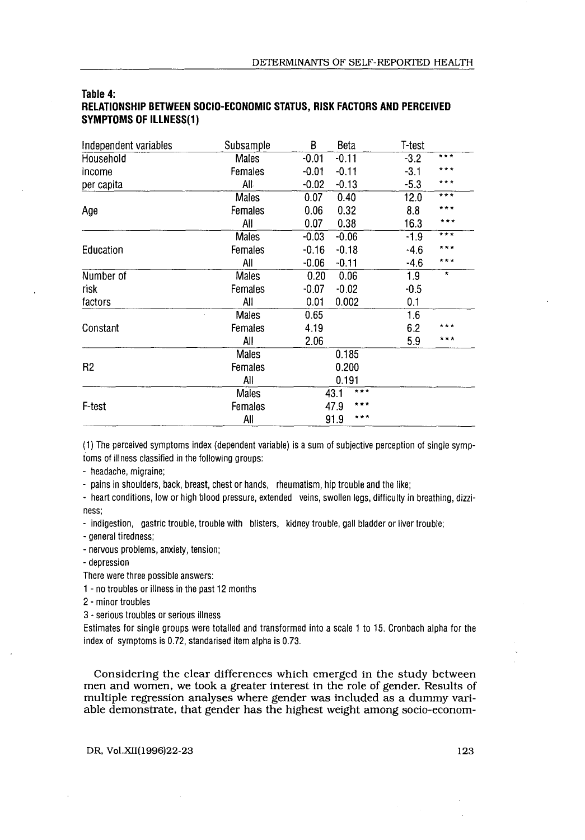| Independent variables | Subsample    | В<br>Beta          | T-test          |
|-----------------------|--------------|--------------------|-----------------|
| Household             | <b>Males</b> | $-0.11$<br>$-0.01$ | ***<br>$-3.2$   |
| income                | Females      | $-0.11$<br>$-0.01$ | * * *<br>$-3.1$ |
| per capita            | All          | $-0.13$<br>$-0.02$ | ***<br>$-5.3$   |
|                       | Males        | 0.40<br>0.07       | ***<br>12.0     |
| Age                   | Females      | 0.32<br>0.06       |                 |
|                       | Αll          | 0.07<br>0.38       | ***<br>16.3     |
|                       | <b>Males</b> | $-0.06$<br>$-0.03$ | ***<br>$-1.9$   |
| Education             | Females      | $-0.18$<br>$-0.16$ | ***<br>$-4.6$   |
|                       | All          | $-0.06$<br>$-0.11$ | ***<br>$-4.6$   |
| Number of             | <b>Males</b> | 0.06<br>0.20       | $\star$<br>1.9  |
| risk                  | Females      | $-0.02$<br>$-0.07$ | $-0.5$          |
| factors               | All          | 0.01<br>0.002      | 0.1             |
|                       | <b>Males</b> | 0.65               | 1.6             |
| Constant              | Females      | 4.19               | 6.2<br>* * *    |
|                       | All          | 2.06               | ***<br>5.9      |
|                       | <b>Males</b> | 0.185              |                 |
| R <sub>2</sub>        | Females      | 0.200              |                 |
|                       | All          | 0.191              |                 |
|                       | Males        | ***<br>43.1        |                 |
| <b>F-test</b>         | Females      | 47.9<br>* * *      |                 |
|                       | All          | $* * *$<br>91.9    |                 |

#### Table 4: RELATIONSHIP BETWEEN SOCIO-ECONOMIC STATUS, RISK FACTORS AND PERCEIVED SYMPTOMS OF ILLNESS(1)

- pains in shoulders, back, breast, chest or hands, rheumatism, hip trouble and the like;

- heart conditions, low or high blood pressure, extended veins, swollen legs, difficulty in breathing, dizziness ;

- indigestion, gastric trouble, trouble with blisters, kidney trouble, gall bladder or liver trouble;

- general tiredness;

- nervous problems, anxiety, tension;

depression

There were three possible answers :

1 - no troubles or illness in the past 12 months

2 - minor troubles

3 - serious troubles or serious illness

Estimates for single groups were totalled and transformed into a scale 1 to 15 . Cronbach alpha for the index of symptoms is 0.72, standarised item alpha is 0.73.

Considering the clear differences which emerged in the study between men and women, we took a greater interest in the role of gender. Results of multiple regression analyses where gender was included as a dummy variable demonstrate, that gender has the highest weight among socio-econom-

DR, Vol.XII(1996)22-23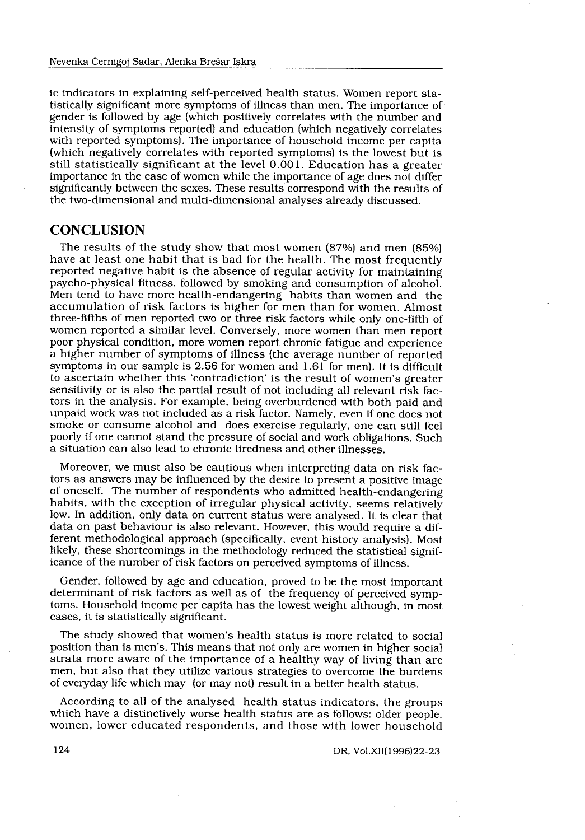ic indicators in explaining self-perceived health status. Women report statistically significant more symptoms of illness than men . The importance of gender is followed by age (which positively correlates with the number and intensity of symptoms reported) and education (which negatively correlates with reported symptoms) . The importance of household income per capita (which negatively correlates with reported symptoms) is the lowest but is still statistically significant at the level 0.001. Education has a greater importance in the case of women while the importance of age does not differ significantly between the sexes . These results correspond with the results of the two-dimensional and multi-dimensional analyses already discussed .

#### **CONCLUSION**

The results of the study show that most women (87%) and men (85%) have at least one habit that is bad for the health. The most frequently reported negative habit is the absence of regular activity for maintaining psycho-physical fitness, followed by smoking and consumption of alcohol. Men tend to have more health-endangering habits than women and the accumulation of risk factors is higher for men than for women . Almost three-fifths of men reported two or three risk factors while only one-fifth of women reported a similar level. Conversely, more women than men report poor physical condition, more women report chronic fatigue and experience a higher number of symptoms of illness (the average number of reported symptoms in our sample is 2.56 for women and  $1.61$  for men). It is difficult to ascertain whether this `contradiction' is the result of women's greater sensitivity or is also the partial result of not including all relevant risk factors in the analysis . For example, being overburdened with both paid and unpaid work was not included as a risk factor. Namely, even if one does not smoke or consume alcohol and does exercise regularly, one can still feel poorly if one cannot stand the pressure of social and work obligations . Such a situation can also lead to chronic tiredness and other illnesses .

Moreover, we must also be cautious when interpreting data on risk factors as answers may be influenced by the desire to present a positive image of oneself. The number of respondents who admitted health-endangering habits, with the exception of irregular physical activity, seems relatively low. In addition, only data on current status were analysed. It is clear that data on past behaviour is also relevant. However, this would require a different methodological approach (specifically, event history analysis) . Most likely, these shortcomings in the methodology reduced the statistical significance of the number of risk factors on perceived symptoms of illness.

Gender, followed by age and education, proved to be the most important determinant of risk factors as well as of the frequency of perceived symptoms. Household income per capita has the lowest weight although, in most cases, it is statistically significant.

The study showed that women's health status is more related to social position than is men's . This means that not only are women in higher social strata more aware of the importance of a healthy way of living than are men, but also that they utilize various strategies to overcome the burdens of everyday life which may (or may not) result in a better health status .

According to all of the analysed health status indicators, the groups which have a distinctively worse health status are as follows: older people, women, lower educated respondents, and those with lower household

DR, Vol .XII(1996)22-23

124